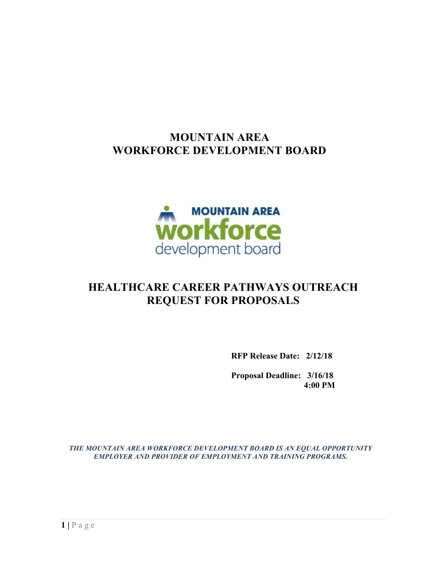## **MOUNTAIN AREA WORKFORCE DEVELOPMENT BOARD**



# **HEALTHCARE CAREER PATHWAYS OUTREACH REQUEST FOR PROPOSALS**

**RFP Release Date: 2/12/18**

**Proposal Deadline: 3/16/18 4:00 PM**

*THE MOUNTAIN AREA WORKFORCE DEVELOPMENT BOARD IS AN EQUAL OPPORTUNITY EMPLOYER AND PROVIDER OF EMPLOYMENT AND TRAINING PROGRAMS.*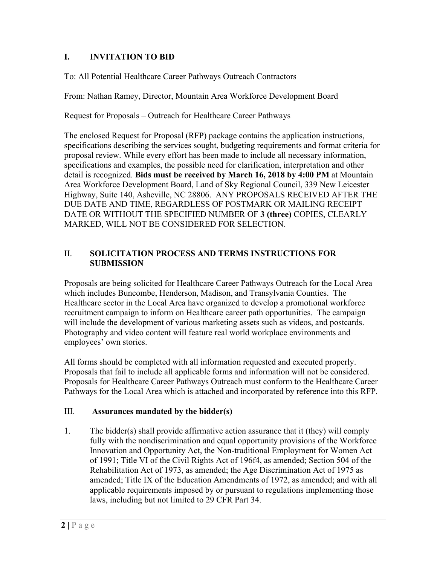### **I. INVITATION TO BID**

To: All Potential Healthcare Career Pathways Outreach Contractors

From: Nathan Ramey, Director, Mountain Area Workforce Development Board

Request for Proposals – Outreach for Healthcare Career Pathways

The enclosed Request for Proposal (RFP) package contains the application instructions, specifications describing the services sought, budgeting requirements and format criteria for proposal review. While every effort has been made to include all necessary information, specifications and examples, the possible need for clarification, interpretation and other detail is recognized. **Bids must be received by March 16, 2018 by 4:00 PM** at Mountain Area Workforce Development Board, Land of Sky Regional Council, 339 New Leicester Highway, Suite 140, Asheville, NC 28806. ANY PROPOSALS RECEIVED AFTER THE DUE DATE AND TIME, REGARDLESS OF POSTMARK OR MAILING RECEIPT DATE OR WITHOUT THE SPECIFIED NUMBER OF **3 (three)** COPIES, CLEARLY MARKED, WILL NOT BE CONSIDERED FOR SELECTION.

#### II. **SOLICITATION PROCESS AND TERMS INSTRUCTIONS FOR SUBMISSION**

Proposals are being solicited for Healthcare Career Pathways Outreach for the Local Area which includes Buncombe, Henderson, Madison, and Transylvania Counties. The Healthcare sector in the Local Area have organized to develop a promotional workforce recruitment campaign to inform on Healthcare career path opportunities. The campaign will include the development of various marketing assets such as videos, and postcards. Photography and video content will feature real world workplace environments and employees' own stories.

All forms should be completed with all information requested and executed properly. Proposals that fail to include all applicable forms and information will not be considered. Proposals for Healthcare Career Pathways Outreach must conform to the Healthcare Career Pathways for the Local Area which is attached and incorporated by reference into this RFP.

#### III. **Assurances mandated by the bidder(s)**

1. The bidder(s) shall provide affirmative action assurance that it (they) will comply fully with the nondiscrimination and equal opportunity provisions of the Workforce Innovation and Opportunity Act, the Non-traditional Employment for Women Act of 1991; Title VI of the Civil Rights Act of 196f4, as amended; Section 504 of the Rehabilitation Act of 1973, as amended; the Age Discrimination Act of 1975 as amended; Title IX of the Education Amendments of 1972, as amended; and with all applicable requirements imposed by or pursuant to regulations implementing those laws, including but not limited to 29 CFR Part 34.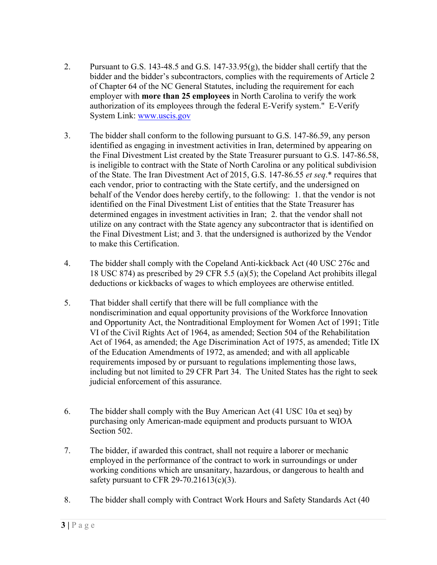- 2. Pursuant to G.S. 143-48.5 and G.S. 147-33.95(g), the bidder shall certify that the bidder and the bidder's subcontractors, complies with the requirements of Article 2 of Chapter 64 of the NC General Statutes, including the requirement for each employer with **more than 25 employees** in North Carolina to verify the work authorization of its employees through the federal E-Verify system." E-Verify System Link: www.uscis.gov
- 3. The bidder shall conform to the following pursuant to G.S. 147-86.59, any person identified as engaging in investment activities in Iran, determined by appearing on the Final Divestment List created by the State Treasurer pursuant to G.S. 147-86.58, is ineligible to contract with the State of North Carolina or any political subdivision of the State. The Iran Divestment Act of 2015, G.S. 147-86.55 *et seq*.\* requires that each vendor, prior to contracting with the State certify, and the undersigned on behalf of the Vendor does hereby certify, to the following: 1. that the vendor is not identified on the Final Divestment List of entities that the State Treasurer has determined engages in investment activities in Iran; 2. that the vendor shall not utilize on any contract with the State agency any subcontractor that is identified on the Final Divestment List; and 3. that the undersigned is authorized by the Vendor to make this Certification.
- 4. The bidder shall comply with the Copeland Anti-kickback Act (40 USC 276c and 18 USC 874) as prescribed by 29 CFR 5.5 (a)(5); the Copeland Act prohibits illegal deductions or kickbacks of wages to which employees are otherwise entitled.
- 5. That bidder shall certify that there will be full compliance with the nondiscrimination and equal opportunity provisions of the Workforce Innovation and Opportunity Act, the Nontraditional Employment for Women Act of 1991; Title VI of the Civil Rights Act of 1964, as amended; Section 504 of the Rehabilitation Act of 1964, as amended; the Age Discrimination Act of 1975, as amended; Title IX of the Education Amendments of 1972, as amended; and with all applicable requirements imposed by or pursuant to regulations implementing those laws, including but not limited to 29 CFR Part 34. The United States has the right to seek judicial enforcement of this assurance.
- 6. The bidder shall comply with the Buy American Act (41 USC 10a et seq) by purchasing only American-made equipment and products pursuant to WIOA Section 502.
- 7. The bidder, if awarded this contract, shall not require a laborer or mechanic employed in the performance of the contract to work in surroundings or under working conditions which are unsanitary, hazardous, or dangerous to health and safety pursuant to CFR 29-70.21613(c)(3).
- 8. The bidder shall comply with Contract Work Hours and Safety Standards Act (40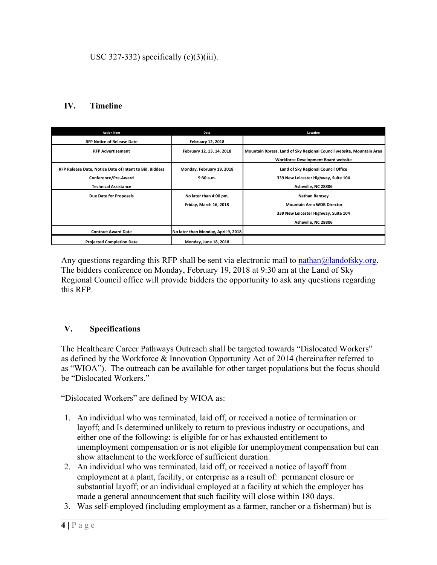### **IV. Timeline**

| <b>Action Item</b>                                      | Date                                | Location                                                             |
|---------------------------------------------------------|-------------------------------------|----------------------------------------------------------------------|
| <b>RFP Notice of Release Date</b>                       | <b>February 12, 2018</b>            |                                                                      |
| <b>RFP Advertisement</b>                                | February 12, 13, 14, 2018           | Mountain Xpress, Land of Sky Regional Council website, Mountain Area |
|                                                         |                                     | <b>Workforce Development Board website</b>                           |
| RFP Release Date, Notice Date of Intent to Bid, Bidders | Monday, February 19, 2018           | Land of Sky Regional Council Office                                  |
| Conference/Pre-Award                                    | 9:30a.m.                            | 339 New Leicester Highway, Suite 104                                 |
| <b>Technical Assistance</b>                             |                                     | Asheville, NC 28806                                                  |
| Due Date for Proposals                                  | No later than 4:00 pm,              | <b>Nathan Ramsey</b>                                                 |
|                                                         | Friday, March 16, 2018              | <b>Mountain Area WDB Director</b>                                    |
|                                                         |                                     | 339 New Leicester Highway, Suite 104                                 |
|                                                         |                                     | Asheville, NC 28806                                                  |
| <b>Contract Award Date</b>                              | No later than Monday, April 9, 2018 |                                                                      |
| <b>Projected Completion Date</b>                        | Monday, June 18, 2018               |                                                                      |

Any questions regarding this RFP shall be sent via electronic mail to nathan@landofsky.org. The bidders conference on Monday, February 19, 2018 at 9:30 am at the Land of Sky Regional Council office will provide bidders the opportunity to ask any questions regarding this RFP.

#### **V. Specifications**

The Healthcare Career Pathways Outreach shall be targeted towards "Dislocated Workers" as defined by the Workforce & Innovation Opportunity Act of 2014 (hereinafter referred to as "WIOA"). The outreach can be available for other target populations but the focus should be "Dislocated Workers."

"Dislocated Workers" are defined by WIOA as:

- 1. An individual who was terminated, laid off, or received a notice of termination or layoff; and Is determined unlikely to return to previous industry or occupations, and either one of the following: is eligible for or has exhausted entitlement to unemployment compensation or is not eligible for unemployment compensation but can show attachment to the workforce of sufficient duration.
- 2. An individual who was terminated, laid off, or received a notice of layoff from employment at a plant, facility, or enterprise as a result of: permanent closure or substantial layoff; or an individual employed at a facility at which the employer has made a general announcement that such facility will close within 180 days.
- 3. Was self-employed (including employment as a farmer, rancher or a fisherman) but is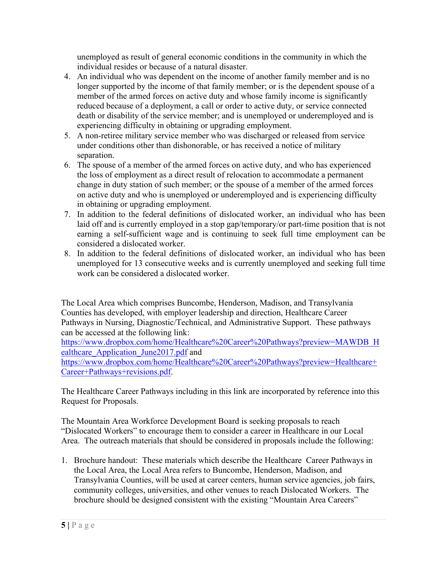unemployed as result of general economic conditions in the community in which the individual resides or because of a natural disaster.

- 4. An individual who was dependent on the income of another family member and is no longer supported by the income of that family member; or is the dependent spouse of a member of the armed forces on active duty and whose family income is significantly reduced because of a deployment, a call or order to active duty, or service connected death or disability of the service member; and is unemployed or underemployed and is experiencing difficulty in obtaining or upgrading employment.
- 5. A non-retiree military service member who was discharged or released from service under conditions other than dishonorable, or has received a notice of military separation.
- 6. The spouse of a member of the armed forces on active duty, and who has experienced the loss of employment as a direct result of relocation to accommodate a permanent change in duty station of such member; or the spouse of a member of the armed forces on active duty and who is unemployed or underemployed and is experiencing difficulty in obtaining or upgrading employment.
- 7. In addition to the federal definitions of dislocated worker, an individual who has been laid off and is currently employed in a stop gap/temporary/or part-time position that is not earning a self-sufficient wage and is continuing to seek full time employment can be considered a dislocated worker.
- 8. In addition to the federal definitions of dislocated worker, an individual who has been unemployed for 13 consecutive weeks and is currently unemployed and seeking full time work can be considered a dislocated worker.

The Local Area which comprises Buncombe, Henderson, Madison, and Transylvania Counties has developed, with employer leadership and direction, Healthcare Career Pathways in Nursing, Diagnostic/Technical, and Administrative Support. These pathways can be accessed at the following link:

https://www.dropbox.com/home/Healthcare%20Career%20Pathways?preview=MAWDB\_H ealthcare Application June2017.pdf and

https://www.dropbox.com/home/Healthcare%20Career%20Pathways?preview=Healthcare+ Career+Pathways+revisions.pdf.

The Healthcare Career Pathways including in this link are incorporated by reference into this Request for Proposals.

The Mountain Area Workforce Development Board is seeking proposals to reach "Dislocated Workers" to encourage them to consider a career in Healthcare in our Local Area. The outreach materials that should be considered in proposals include the following:

1. Brochure handout: These materials which describe the Healthcare Career Pathways in the Local Area, the Local Area refers to Buncombe, Henderson, Madison, and Transylvania Counties, will be used at career centers, human service agencies, job fairs, community colleges, universities, and other venues to reach Dislocated Workers. The brochure should be designed consistent with the existing "Mountain Area Careers"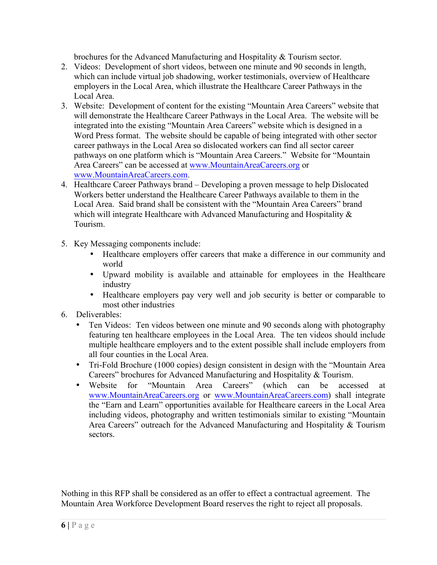brochures for the Advanced Manufacturing and Hospitality & Tourism sector.

- 2. Videos: Development of short videos, between one minute and 90 seconds in length, which can include virtual job shadowing, worker testimonials, overview of Healthcare employers in the Local Area, which illustrate the Healthcare Career Pathways in the Local Area.
- 3. Website: Development of content for the existing "Mountain Area Careers" website that will demonstrate the Healthcare Career Pathways in the Local Area. The website will be integrated into the existing "Mountain Area Careers" website which is designed in a Word Press format. The website should be capable of being integrated with other sector career pathways in the Local Area so dislocated workers can find all sector career pathways on one platform which is "Mountain Area Careers." Website for "Mountain Area Careers" can be accessed at www.MountainAreaCareers.org or www.MountainAreaCareers.com.
- 4. Healthcare Career Pathways brand Developing a proven message to help Dislocated Workers better understand the Healthcare Career Pathways available to them in the Local Area. Said brand shall be consistent with the "Mountain Area Careers" brand which will integrate Healthcare with Advanced Manufacturing and Hospitality  $\&$ Tourism.
- 5. Key Messaging components include:
	- Healthcare employers offer careers that make a difference in our community and world
	- Upward mobility is available and attainable for employees in the Healthcare industry
	- Healthcare employers pay very well and job security is better or comparable to most other industries
- 6. Deliverables:
	- Ten Videos: Ten videos between one minute and 90 seconds along with photography featuring ten healthcare employees in the Local Area. The ten videos should include multiple healthcare employers and to the extent possible shall include employers from all four counties in the Local Area.
	- Tri-Fold Brochure (1000 copies) design consistent in design with the "Mountain Area Careers" brochures for Advanced Manufacturing and Hospitality & Tourism.
	- Website for "Mountain Area Careers" (which can be accessed at www.MountainAreaCareers.org or www.MountainAreaCareers.com) shall integrate the "Earn and Learn" opportunities available for Healthcare careers in the Local Area including videos, photography and written testimonials similar to existing "Mountain Area Careers" outreach for the Advanced Manufacturing and Hospitality & Tourism sectors.

Nothing in this RFP shall be considered as an offer to effect a contractual agreement. The Mountain Area Workforce Development Board reserves the right to reject all proposals.